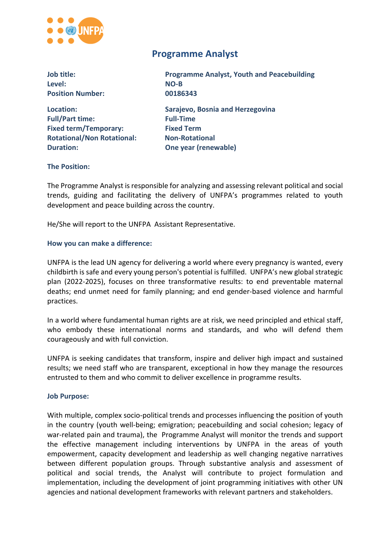

# **Programme Analyst**

| Job title:                        | <b>Programme Analyst, Youth and Peacebuilding</b> |  |
|-----------------------------------|---------------------------------------------------|--|
| Level:                            | NO-B                                              |  |
| <b>Position Number:</b>           | 00186343                                          |  |
| Location:                         | Sarajevo, Bosnia and Herzegovina                  |  |
| <b>Full/Part time:</b>            | <b>Full-Time</b>                                  |  |
| <b>Fixed term/Temporary:</b>      | <b>Fixed Term</b>                                 |  |
| <b>Rotational/Non Rotational:</b> | <b>Non-Rotational</b>                             |  |
| <b>Duration:</b>                  | One year (renewable)                              |  |
|                                   |                                                   |  |

#### **The Position:**

The Programme Analyst is responsible for analyzing and assessing relevant political and social trends, guiding and facilitating the delivery of UNFPA's programmes related to youth development and peace building across the country.

He/She will report to the UNFPA Assistant Representative.

#### **How you can make a difference:**

UNFPA is the lead UN agency for delivering a world where every pregnancy is wanted, every childbirth is safe and every young person's potential is fulfilled. UNFPA's new global strategic plan (2022-2025), focuses on three transformative results: to end preventable maternal deaths; end unmet need for family planning; and end gender-based violence and harmful practices.

In a world where fundamental human rights are at risk, we need principled and ethical staff, who embody these international norms and standards, and who will defend them courageously and with full conviction.

UNFPA is seeking candidates that transform, inspire and deliver high impact and sustained results; we need staff who are transparent, exceptional in how they manage the resources entrusted to them and who commit to deliver excellence in programme results.

#### **Job Purpose:**

With multiple, complex socio-political trends and processes influencing the position of youth in the country (youth well-being; emigration; peacebuilding and social cohesion; legacy of war-related pain and trauma), the Programme Analyst will monitor the trends and support the effective management including interventions by UNFPA in the areas of youth empowerment, capacity development and leadership as well changing negative narratives between different population groups. Through substantive analysis and assessment of political and social trends, the Analyst will contribute to project formulation and implementation, including the development of joint programming initiatives with other UN agencies and national development frameworks with relevant partners and stakeholders.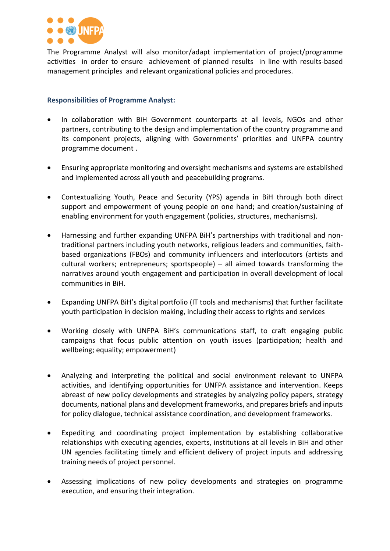

The Programme Analyst will also monitor/adapt implementation of project/programme activities in order to ensure achievement of planned results in line with results-based management principles and relevant organizational policies and procedures.

## **Responsibilities of Programme Analyst:**

- In collaboration with BiH Government counterparts at all levels, NGOs and other partners, contributing to the design and implementation of the country programme and its component projects, aligning with Governments' priorities and UNFPA country programme document .
- Ensuring appropriate monitoring and oversight mechanisms and systems are established and implemented across all youth and peacebuilding programs.
- Contextualizing Youth, Peace and Security (YPS) agenda in BiH through both direct support and empowerment of young people on one hand; and creation/sustaining of enabling environment for youth engagement (policies, structures, mechanisms).
- Harnessing and further expanding UNFPA BiH's partnerships with traditional and nontraditional partners including youth networks, religious leaders and communities, faithbased organizations (FBOs) and community influencers and interlocutors (artists and cultural workers; entrepreneurs; sportspeople) – all aimed towards transforming the narratives around youth engagement and participation in overall development of local communities in BiH.
- Expanding UNFPA BiH's digital portfolio (IT tools and mechanisms) that further facilitate youth participation in decision making, including their access to rights and services
- Working closely with UNFPA BiH's communications staff, to craft engaging public campaigns that focus public attention on youth issues (participation; health and wellbeing; equality; empowerment)
- Analyzing and interpreting the political and social environment relevant to UNFPA activities, and identifying opportunities for UNFPA assistance and intervention. Keeps abreast of new policy developments and strategies by analyzing policy papers, strategy documents, national plans and development frameworks, and prepares briefs and inputs for policy dialogue, technical assistance coordination, and development frameworks.
- Expediting and coordinating project implementation by establishing collaborative relationships with executing agencies, experts, institutions at all levels in BiH and other UN agencies facilitating timely and efficient delivery of project inputs and addressing training needs of project personnel.
- Assessing implications of new policy developments and strategies on programme execution, and ensuring their integration.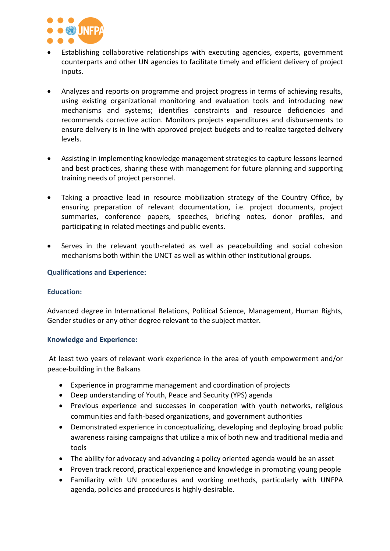

- Establishing collaborative relationships with executing agencies, experts, government counterparts and other UN agencies to facilitate timely and efficient delivery of project inputs.
- Analyzes and reports on programme and project progress in terms of achieving results, using existing organizational monitoring and evaluation tools and introducing new mechanisms and systems; identifies constraints and resource deficiencies and recommends corrective action. Monitors projects expenditures and disbursements to ensure delivery is in line with approved project budgets and to realize targeted delivery levels.
- Assisting in implementing knowledge management strategies to capture lessons learned and best practices, sharing these with management for future planning and supporting training needs of project personnel.
- Taking a proactive lead in resource mobilization strategy of the Country Office, by ensuring preparation of relevant documentation, i.e. project documents, project summaries, conference papers, speeches, briefing notes, donor profiles, and participating in related meetings and public events.
- Serves in the relevant youth-related as well as peacebuilding and social cohesion mechanisms both within the UNCT as well as within other institutional groups.

## **Qualifications and Experience:**

### **Education:**

Advanced degree in International Relations, Political Science, Management, Human Rights, Gender studies or any other degree relevant to the subject matter.

### **Knowledge and Experience:**

At least two years of relevant work experience in the area of youth empowerment and/or peace-building in the Balkans

- Experience in programme management and coordination of projects
- Deep understanding of Youth, Peace and Security (YPS) agenda
- Previous experience and successes in cooperation with youth networks, religious communities and faith-based organizations, and government authorities
- Demonstrated experience in conceptualizing, developing and deploying broad public awareness raising campaigns that utilize a mix of both new and traditional media and tools
- The ability for advocacy and advancing a policy oriented agenda would be an asset
- Proven track record, practical experience and knowledge in promoting young people
- Familiarity with UN procedures and working methods, particularly with UNFPA agenda, policies and procedures is highly desirable.